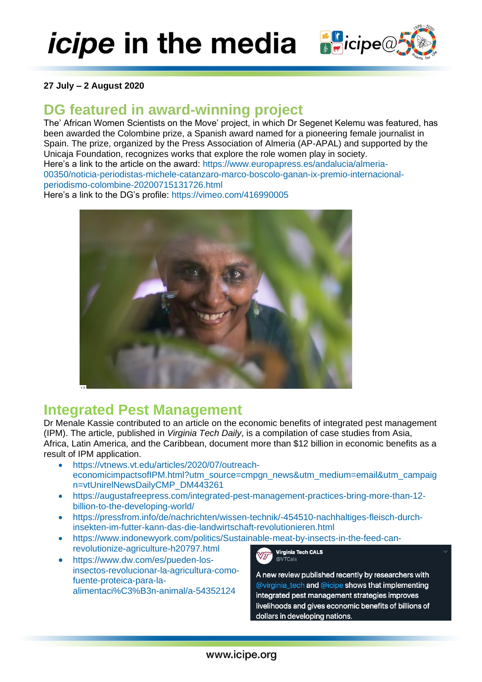*icipe* in the media **Social Section** 

#### **27 July – 2 August 2020**

## **DG featured in award-winning project**

The' African Women Scientists on the Move' project, in which Dr Segenet Kelemu was featured, has been awarded the Colombine prize, a Spanish award named for a pioneering female journalist in Spain. The prize, organized by the Press Association of Almeria (AP-APAL) and supported by the Unicaja Foundation, recognizes works that explore the role women play in society. Here's a link to the article on the award: [https://www.europapress.es/andalucia/almeria-](https://www.europapress.es/andalucia/almeria-00350/noticia-periodistas-michele-catanzaro-marco-boscolo-ganan-ix-premio-internacional-periodismo-colombine-20200715131726.html)[00350/noticia-periodistas-michele-catanzaro-marco-boscolo-ganan-ix-premio-internacional](https://www.europapress.es/andalucia/almeria-00350/noticia-periodistas-michele-catanzaro-marco-boscolo-ganan-ix-premio-internacional-periodismo-colombine-20200715131726.html)[periodismo-colombine-20200715131726.html](https://www.europapress.es/andalucia/almeria-00350/noticia-periodistas-michele-catanzaro-marco-boscolo-ganan-ix-premio-internacional-periodismo-colombine-20200715131726.html)

Here's a link to the DG's profile:<https://vimeo.com/416990005>



### **Integrated Pest Management**

Dr Menale Kassie contributed to an article on the economic benefits of integrated pest management (IPM). The article, published in *Virginia Tech Daily*, is a compilation of case studies from Asia, Africa, Latin America, and the Caribbean, document more than \$12 billion in economic benefits as a result of IPM application.

- [https://vtnews.vt.edu/articles/2020/07/outreach](https://vtnews.vt.edu/articles/2020/07/outreach-economicimpactsofIPM.html?utm_source=cmpgn_news&utm_medium=email&utm_campaign=vtUnirelNewsDailyCMP_DM443261)[economicimpactsofIPM.html?utm\\_source=cmpgn\\_news&utm\\_medium=email&utm\\_campaig](https://vtnews.vt.edu/articles/2020/07/outreach-economicimpactsofIPM.html?utm_source=cmpgn_news&utm_medium=email&utm_campaign=vtUnirelNewsDailyCMP_DM443261) [n=vtUnirelNewsDailyCMP\\_DM443261](https://vtnews.vt.edu/articles/2020/07/outreach-economicimpactsofIPM.html?utm_source=cmpgn_news&utm_medium=email&utm_campaign=vtUnirelNewsDailyCMP_DM443261)
- [https://augustafreepress.com/integrated-pest-management-practices-bring-more-than-12](https://augustafreepress.com/integrated-pest-management-practices-bring-more-than-12-billion-to-the-developing-world/) [billion-to-the-developing-world/](https://augustafreepress.com/integrated-pest-management-practices-bring-more-than-12-billion-to-the-developing-world/)
- [https://pressfrom.info/de/nachrichten/wissen-technik/-454510-nachhaltiges-fleisch-durch](https://pressfrom.info/de/nachrichten/wissen-technik/-454510-nachhaltiges-fleisch-durch-insekten-im-futter-kann-das-die-landwirtschaft-revolutionieren.html)[insekten-im-futter-kann-das-die-landwirtschaft-revolutionieren.html](https://pressfrom.info/de/nachrichten/wissen-technik/-454510-nachhaltiges-fleisch-durch-insekten-im-futter-kann-das-die-landwirtschaft-revolutionieren.html)
- [https://www.indonewyork.com/politics/Sustainable-meat-by-insects-in-the-feed-can](https://www.indonewyork.com/politics/Sustainable-meat-by-insects-in-the-feed-can-revolutionize-agriculture-h20797.html)[revolutionize-agriculture-h20797.html](https://www.indonewyork.com/politics/Sustainable-meat-by-insects-in-the-feed-can-revolutionize-agriculture-h20797.html) Virginia Tech CALS
- [https://www.dw.com/es/pueden-los](https://www.dw.com/es/pueden-los-insectos-revolucionar-la-agricultura-como-fuente-proteica-para-la-alimentaci%C3%B3n-animal/a-54352124)[insectos-revolucionar-la-agricultura-como](https://www.dw.com/es/pueden-los-insectos-revolucionar-la-agricultura-como-fuente-proteica-para-la-alimentaci%C3%B3n-animal/a-54352124)[fuente-proteica-para-la](https://www.dw.com/es/pueden-los-insectos-revolucionar-la-agricultura-como-fuente-proteica-para-la-alimentaci%C3%B3n-animal/a-54352124)[alimentaci%C3%B3n-animal/a-54352124](https://www.dw.com/es/pueden-los-insectos-revolucionar-la-agricultura-como-fuente-proteica-para-la-alimentaci%C3%B3n-animal/a-54352124)



A new review published recently by researchers with @virginia\_tech and @icipe shows that implementing integrated pest management strategies improves livelihoods and gives economic benefits of billions of dollars in developing nations.